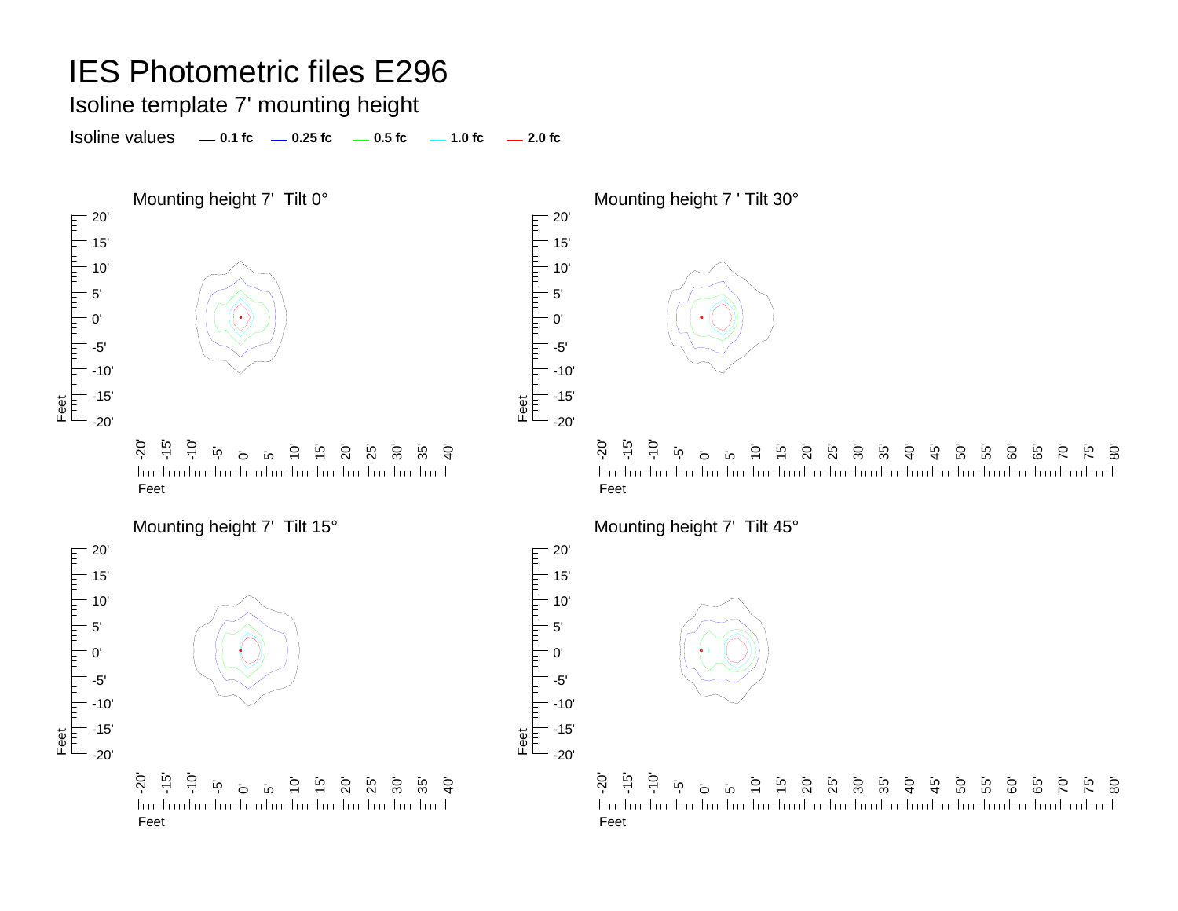Isoline template 7' mounting height

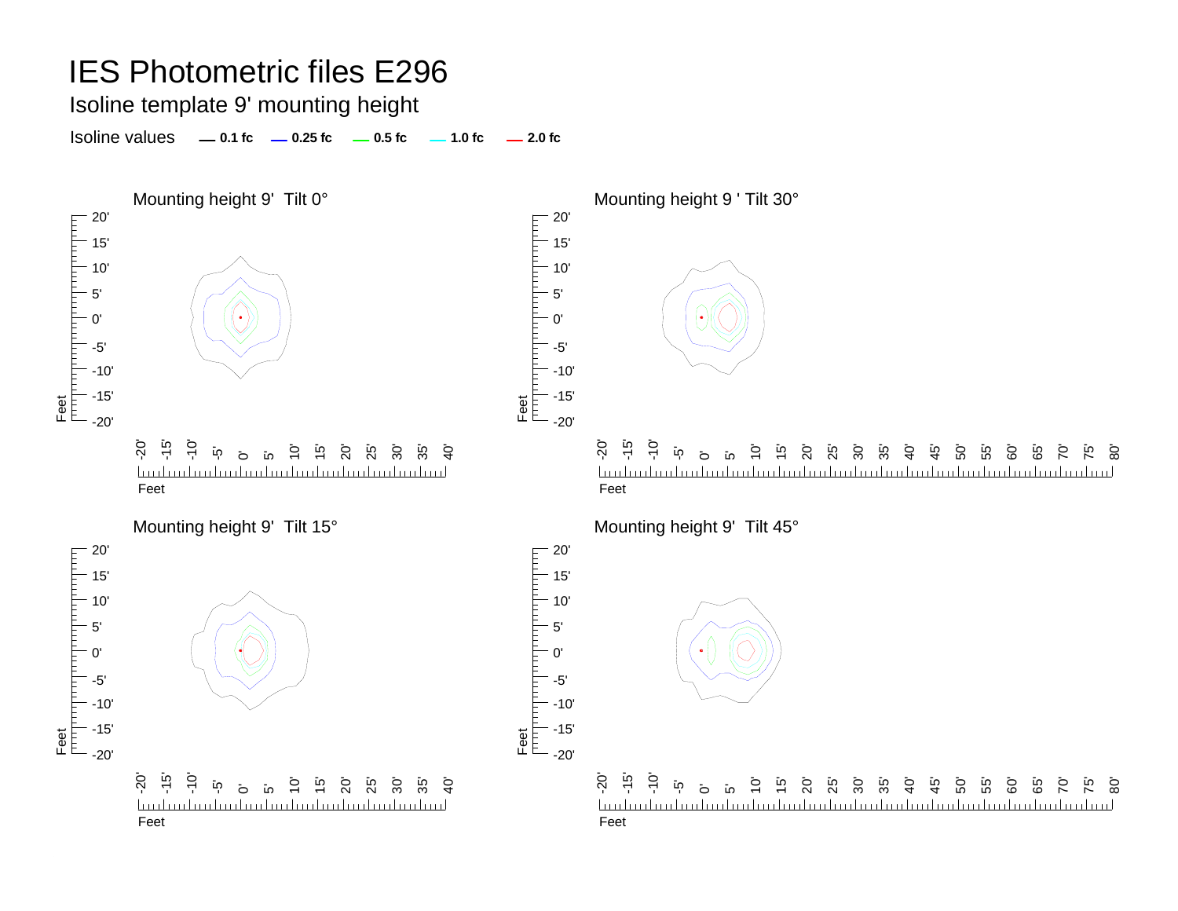Isoline template 9' mounting height

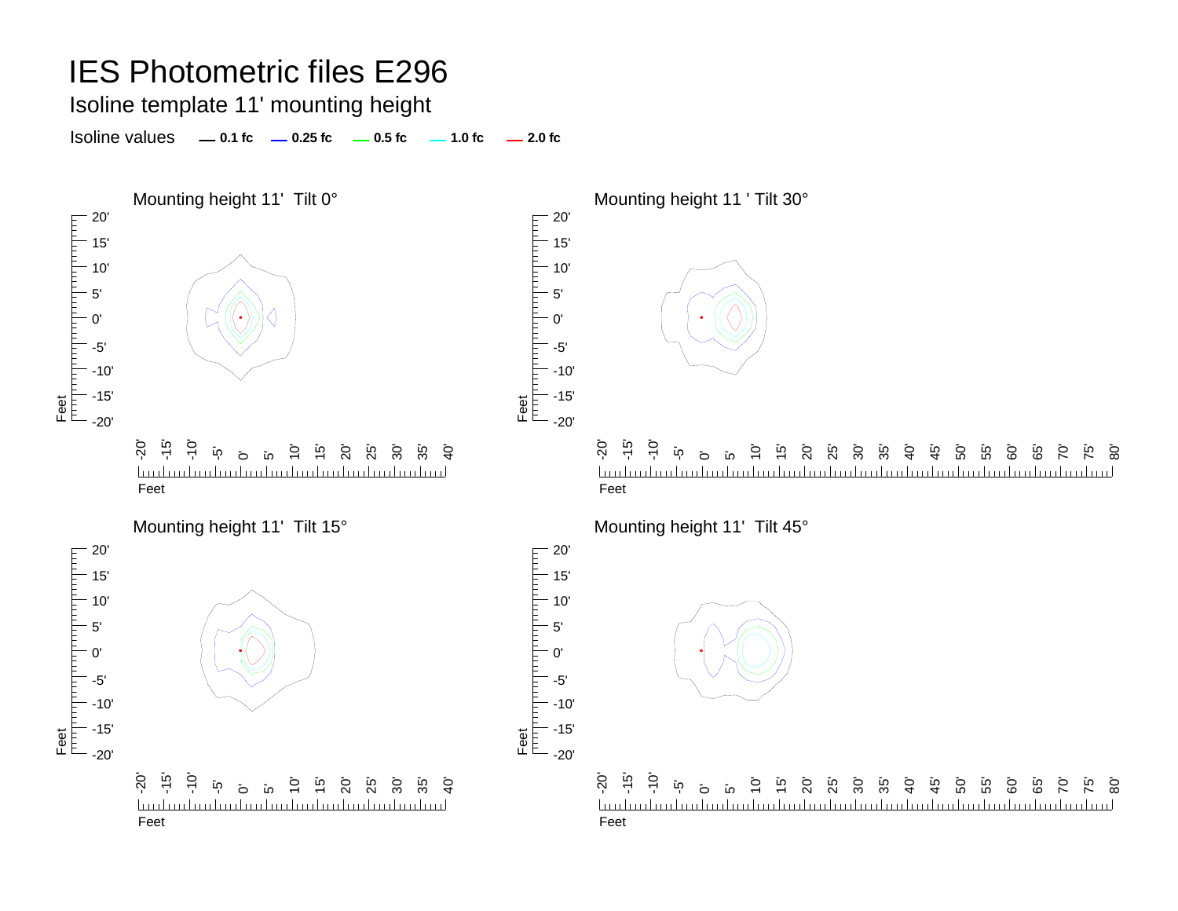Isoline template 11' mounting height

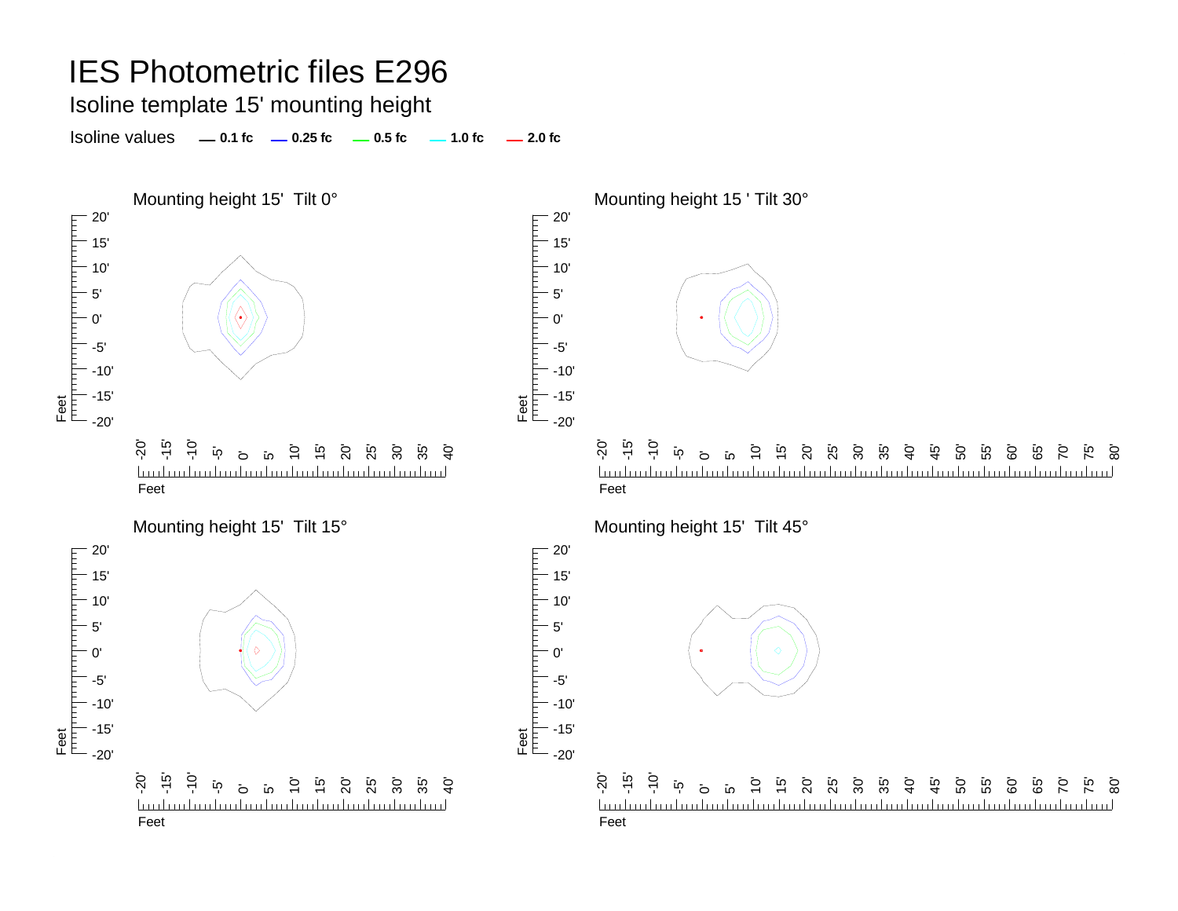Isoline template 15' mounting height

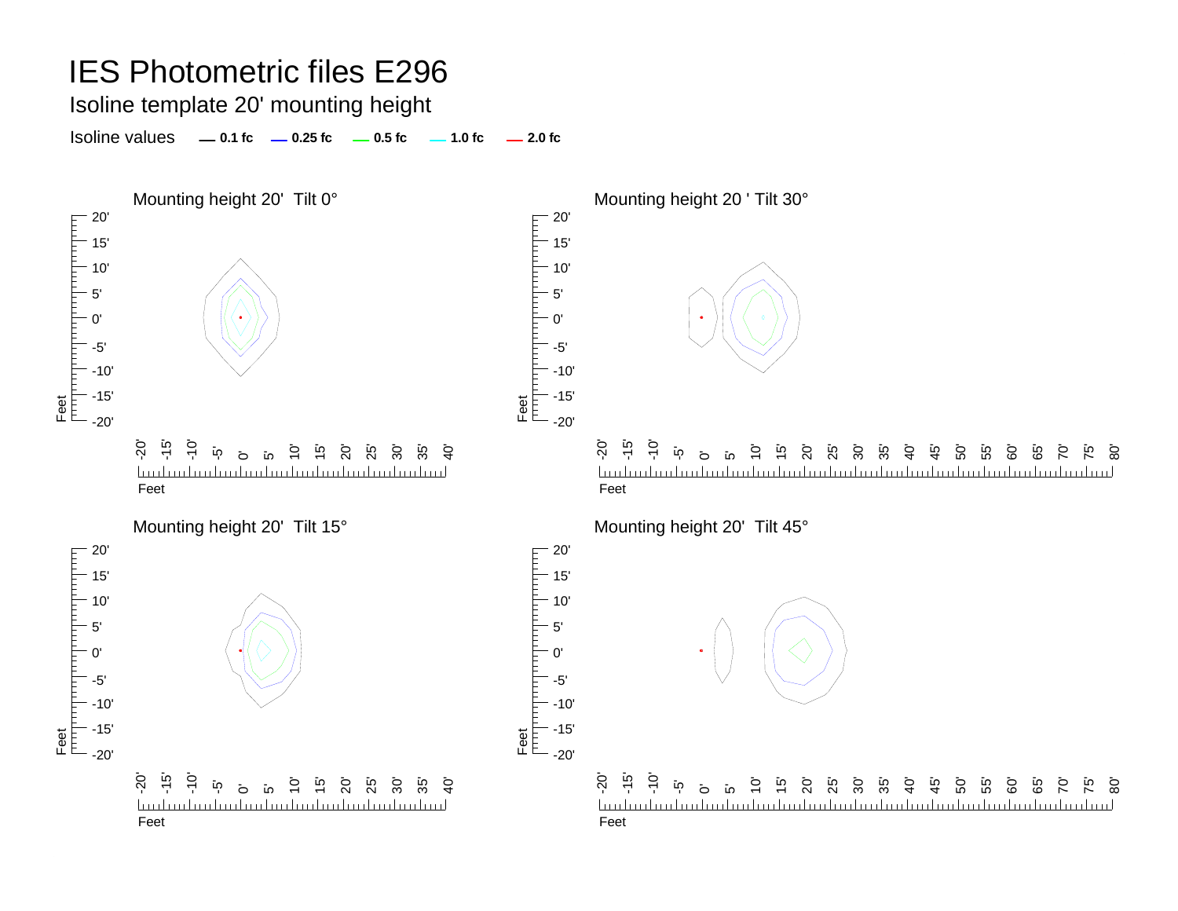Isoline template 20' mounting height

Isoline values **0.1 fc 0.25 fc 0.5 fc 2.0 fc 1.0 fc**



50' 55' 60' 65' 70' <u>تہ</u> 80'

50' 55' 60' ة<br>6 70' 75' 80'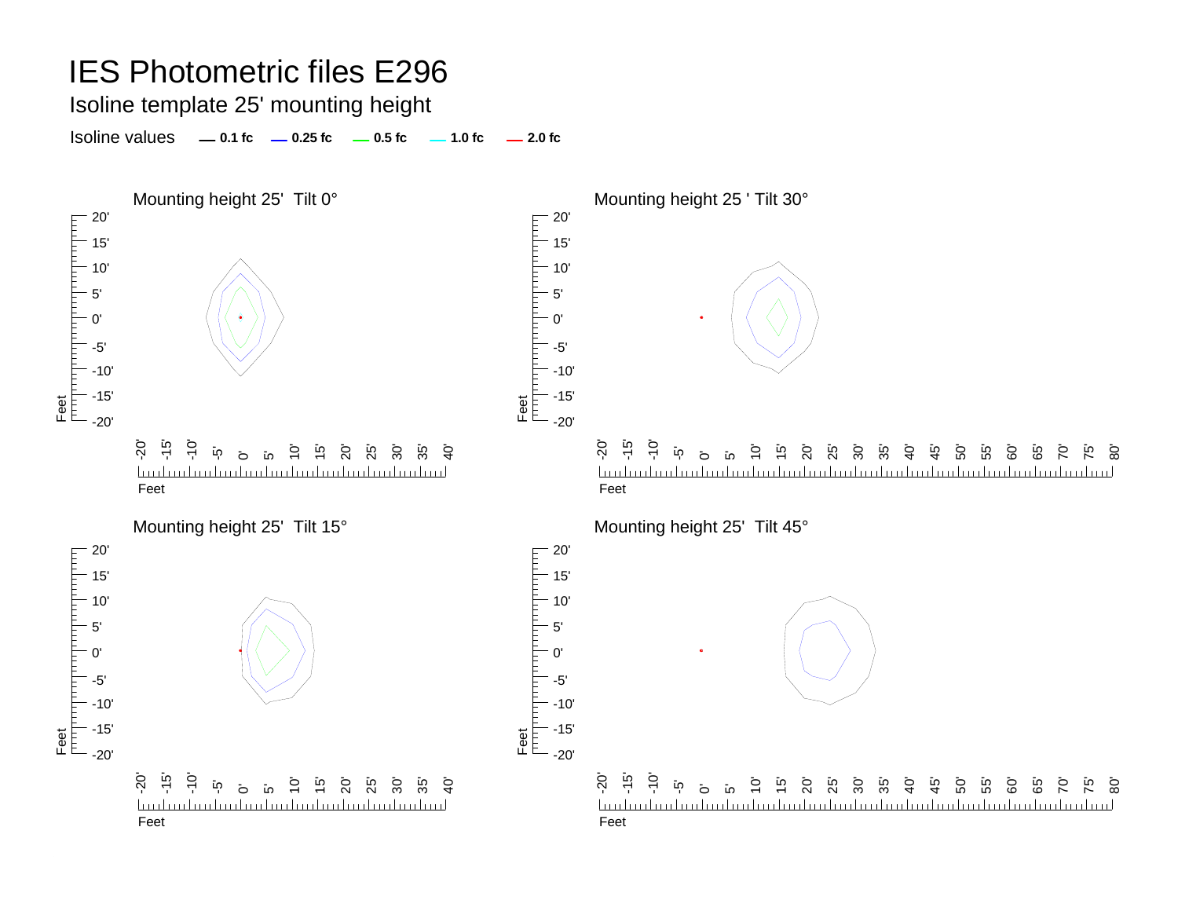Isoline template 25' mounting height